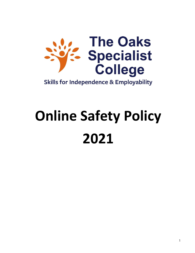

**Skills for Independence & Employability** 

# **Online Safety Policy 2021**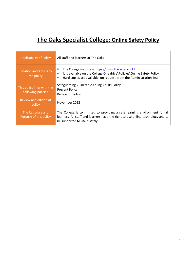# **The Oaks Specialist College: Online Safety Policy**

| <b>Applicability of Policy</b>                   | All staff and learners at The Oaks                                                                                                                                                                               |  |
|--------------------------------------------------|------------------------------------------------------------------------------------------------------------------------------------------------------------------------------------------------------------------|--|
| Location and Access to<br>the policy             | The College website - https://www.theoaks.ac.uk/<br>٠<br>It is available on the College One drive\Policies\Online Safety Policy<br>п<br>Hard copies are available, on request, from the Administration Team<br>٠ |  |
| This policy links with the<br>following policies | Safeguarding Vulnerable Young Adults Policy<br><b>Prevent Policy</b><br><b>Behaviour Policy</b>                                                                                                                  |  |
| Review and edition of<br>policy                  | November 2022                                                                                                                                                                                                    |  |
| The Rationale and<br>Purpose of this policy      | The College is committed to providing a safe learning environment for all<br>learners. All staff and learners have the right to use online technology and to<br>be supported to use it safely.                   |  |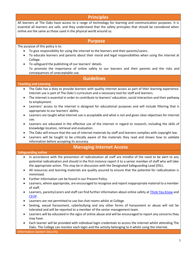# **Principles**

All learners at The Oaks have access to a range of technology for learning and communication purposes. It is essential all learners are safe, and they understand that the safety principles that should be considered when online are the same as those used in the physical world around us.

#### **Purpose**

#### The purpose of this policy is to:

- To give responsibility for using the internet to the learners and their parents/carers.
- To educate learners and parents about their moral and legal responsibilities when using the internet at College.
- To safeguard the publishing of our learners' details. • To promote the importance of online safety to our learners and their parents and the risks and consequences of unacceptable use.

### **Guidelines**

#### **Teaching and Learning**

- The Oaks has a duty to provide learners with quality internet access as part of their learning experience. Internet use is part of The Oaks's curriculum and a necessary tool for staff and learners.
- The internet is essential in order to contribute to learners' education, social interaction and their pathway to employment.
- Learners' access to the internet is designed for educational purposes and will include filtering that is appropriate to our learners' ability.
- Learners are taught what internet use is acceptable and what is not and given clear objectives for internet use.
- Learners are educated in the effective use of the internet in regard to research, including the skills of knowledge location, retrieval and evaluation.
- The Oaks will ensure that the use of internet materials by staff and learners complies with copyright law.
- Learners will be taught to be critically aware of the materials they read and shown how to validate information before accepting its accuracy.

#### **Managing Internet Access**

#### **Safeguarding online**

- In accordance with the prevention of radicalisation all staff are mindful of the need to be alert to any potential radicalisation and should in the first instance report it to a senior member of staff who will take the appropriate action. This may be in discussion with the Designated Safeguarding Lead (DSL).
- All resources and learning materials are quality assured to ensure that the potential for radicalisation is minimised.
- Further information can be found in our Prevent Policy.
- Learners, where appropriate, are encouraged to recognise and report inappropriate material to a member of staff.
- Learners, parents/carers and staff can find further information about online safety at [Think You Know](https://www.thinkuknow.co.uk/) and [CEOP.](https://www.ceop.police.uk/safety-centre/)
- Learners are not permitted to use live chat rooms whilst at College.
- Sexting, sexual harassment, cyberbullying and any other forms of harassment or abuse will not be tolerated and will be reported to a member of the senior management team.
- Learners will be educated in the signs of online abuse and will be encouraged to report any concerns they may have.
- Each learner will be provided with individual login credentials to access the internet whilst attending The Oaks. The College can monitor each login and the activity belonging to it whilst using the internet.

Information System Security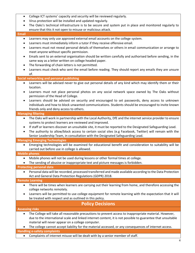- College ICT systems' capacity and security will be reviewed regularly.
- Virus protection will be installed and updated regularly.
- The Oaks's technical infrastructure is to be secure and system put in place and monitored regularly to ensure that this it not open to misuse or malicious attack.

#### **Email**

- Learners may only use approved external email accounts on the college system.
- Learners must immediately inform a tutor if they receive offensive email.
- Learners must not reveal personal details of themselves or others in email communication or arrange to meet anyone without specific permission.
- Emails sent to an external organisation should be written carefully and authorised before sending, in the same way as a letter written on college headed paper.
- The forwarding of chain letters is not permitted.
- Learners must check who sent the email before reading. They should report any emails they are unsure of.

#### **Social networking and personal publishing**

- Learners will be advised never to give out personal details of any kind which may identify them or their location.
- Learners must not place personal photos on any social network space owned by The Oaks without permission of the Head of College.
- Learners should be advised on security and encouraged to set passwords, deny access to unknown individuals and how to block unwanted communications. Students should be encouraged to invite known friends only and deny access to others.

#### **Managing filtering**

- The Oaks will work in partnership with the Local Authority, DfE and the internet service provider to ensure systems to protect learners are reviewed and improved.
- If staff or learners discover an unsuitable site, it must be reported to the Designated Safeguarding Lead.
- The authority to allow/block access to certain social sites (e.g Facebook, Twitter) will remain with the Senior Leadership Team, in consultation with the Designated Safeguarding Lead.

#### **Managing Emerging Technologies**

• Emerging technologies will be examined for educational benefit and consideration to suitability will be carried out before use in college is allowed.

#### **Mobile phones**

- Mobile phones will not be used during lessons or other formal times at college.
- The sending of abusive or inappropriate text and picture messages is forbidden.

#### **Protecting personal data**

• Personal data will be recorded, processed transferred and made available according to the Data Protection Act and General Data Protection Regulations (GDPR) 2018.

#### **Remote Learning**

- There will be times when learners are carrying out their learning from home, and therefore accessing the college networks remotely.
- Learners will be permitted to use college equipment for remote learning with the expectation that it will be treated with respect and as outlined in this policy.

# **Policy Decisions**

#### **Assessing risks**

- The College will take all reasonable precautions to prevent access to inappropriate material. However, due to the international scale and linked internet content, it is not possible to guarantee that unsuitable material will never appear on a college computer.
- The college cannot accept liability for the material accessed, or any consequences of internet access.

#### **Handling e-safety complaints**

• Complaints of internet misuse will be dealt with by a senior member of staff.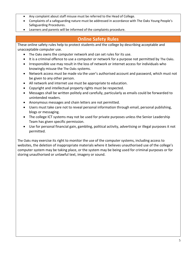- Any complaint about staff misuse must be referred to the Head of College.
- Complaints of a safeguarding nature must be addressed in accordance with The Oaks Young People's Safeguarding Procedures.
- Learners and parents will be informed of the complaints procedure.

# **Online Safety Rules**

These online safety rules help to protect students and the college by describing acceptable and unacceptable computer use.

- The Oaks owns the computer network and can set rules for its use.
- It is a criminal offence to use a computer or network for a purpose not permitted by The Oaks.
- Irresponsible use may result in the loss of network or internet access for individuals who knowingly misuse the The Oaks systems.
- Network access must be made via the user's authorised account and password, which must not be given to any other person.
- All network and internet use must be appropriate to education.
- Copyright and intellectual property rights must be respected.
- Messages shall be written politely and carefully, particularly as emails could be forwarded to unintended readers.
- Anonymous messages and chain letters are not permitted.
- Users must take care not to reveal personal information through email, personal publishing, blogs or messaging.
- The college ICT systems may not be used for private purposes unless the Senior Leadership Team has given specific permission.
- Use for personal financial gain, gambling, political activity, advertising or illegal purposes it not permitted.

The Oaks may exercise its right to monitor the use of the computer systems, including access to websites, the deletion of inappropriate materials where it believes unauthorised use of the college's computer system may be taking place, or the system may be being used for criminal purposes or for storing unauthorised or unlawful text, imagery or sound.